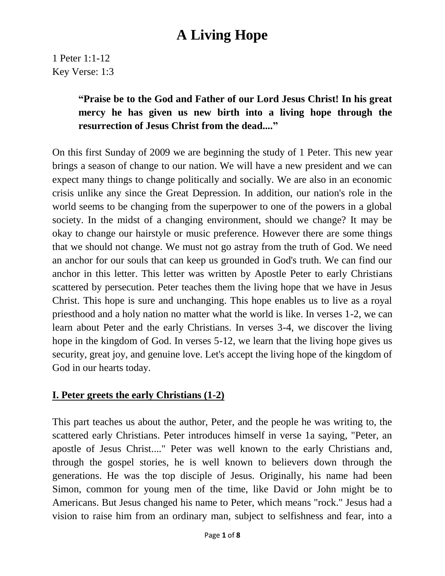1 Peter 1:1-12 Key Verse: 1:3

#### **"Praise be to the God and Father of our Lord Jesus Christ! In his great mercy he has given us new birth into a living hope through the resurrection of Jesus Christ from the dead...."**

On this first Sunday of 2009 we are beginning the study of 1 Peter. This new year brings a season of change to our nation. We will have a new president and we can expect many things to change politically and socially. We are also in an economic crisis unlike any since the Great Depression. In addition, our nation's role in the world seems to be changing from the superpower to one of the powers in a global society. In the midst of a changing environment, should we change? It may be okay to change our hairstyle or music preference. However there are some things that we should not change. We must not go astray from the truth of God. We need an anchor for our souls that can keep us grounded in God's truth. We can find our anchor in this letter. This letter was written by Apostle Peter to early Christians scattered by persecution. Peter teaches them the living hope that we have in Jesus Christ. This hope is sure and unchanging. This hope enables us to live as a royal priesthood and a holy nation no matter what the world is like. In verses 1-2, we can learn about Peter and the early Christians. In verses 3-4, we discover the living hope in the kingdom of God. In verses 5-12, we learn that the living hope gives us security, great joy, and genuine love. Let's accept the living hope of the kingdom of God in our hearts today.

#### **I. Peter greets the early Christians (1-2)**

This part teaches us about the author, Peter, and the people he was writing to, the scattered early Christians. Peter introduces himself in verse 1a saying, "Peter, an apostle of Jesus Christ...." Peter was well known to the early Christians and, through the gospel stories, he is well known to believers down through the generations. He was the top disciple of Jesus. Originally, his name had been Simon, common for young men of the time, like David or John might be to Americans. But Jesus changed his name to Peter, which means "rock." Jesus had a vision to raise him from an ordinary man, subject to selfishness and fear, into a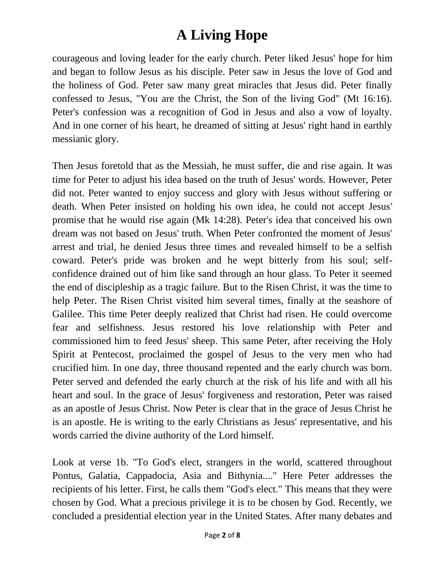courageous and loving leader for the early church. Peter liked Jesus' hope for him and began to follow Jesus as his disciple. Peter saw in Jesus the love of God and the holiness of God. Peter saw many great miracles that Jesus did. Peter finally confessed to Jesus, "You are the Christ, the Son of the living God" (Mt 16:16). Peter's confession was a recognition of God in Jesus and also a vow of loyalty. And in one corner of his heart, he dreamed of sitting at Jesus' right hand in earthly messianic glory.

Then Jesus foretold that as the Messiah, he must suffer, die and rise again. It was time for Peter to adjust his idea based on the truth of Jesus' words. However, Peter did not. Peter wanted to enjoy success and glory with Jesus without suffering or death. When Peter insisted on holding his own idea, he could not accept Jesus' promise that he would rise again (Mk 14:28). Peter's idea that conceived his own dream was not based on Jesus' truth. When Peter confronted the moment of Jesus' arrest and trial, he denied Jesus three times and revealed himself to be a selfish coward. Peter's pride was broken and he wept bitterly from his soul; selfconfidence drained out of him like sand through an hour glass. To Peter it seemed the end of discipleship as a tragic failure. But to the Risen Christ, it was the time to help Peter. The Risen Christ visited him several times, finally at the seashore of Galilee. This time Peter deeply realized that Christ had risen. He could overcome fear and selfishness. Jesus restored his love relationship with Peter and commissioned him to feed Jesus' sheep. This same Peter, after receiving the Holy Spirit at Pentecost, proclaimed the gospel of Jesus to the very men who had crucified him. In one day, three thousand repented and the early church was born. Peter served and defended the early church at the risk of his life and with all his heart and soul. In the grace of Jesus' forgiveness and restoration, Peter was raised as an apostle of Jesus Christ. Now Peter is clear that in the grace of Jesus Christ he is an apostle. He is writing to the early Christians as Jesus' representative, and his words carried the divine authority of the Lord himself.

Look at verse 1b. "To God's elect, strangers in the world, scattered throughout Pontus, Galatia, Cappadocia, Asia and Bithynia...." Here Peter addresses the recipients of his letter. First, he calls them "God's elect." This means that they were chosen by God. What a precious privilege it is to be chosen by God. Recently, we concluded a presidential election year in the United States. After many debates and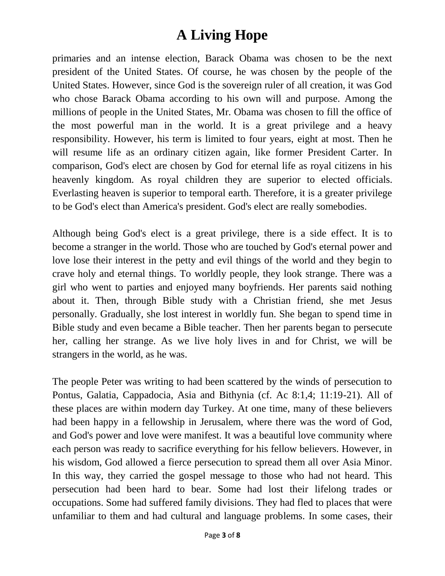primaries and an intense election, Barack Obama was chosen to be the next president of the United States. Of course, he was chosen by the people of the United States. However, since God is the sovereign ruler of all creation, it was God who chose Barack Obama according to his own will and purpose. Among the millions of people in the United States, Mr. Obama was chosen to fill the office of the most powerful man in the world. It is a great privilege and a heavy responsibility. However, his term is limited to four years, eight at most. Then he will resume life as an ordinary citizen again, like former President Carter. In comparison, God's elect are chosen by God for eternal life as royal citizens in his heavenly kingdom. As royal children they are superior to elected officials. Everlasting heaven is superior to temporal earth. Therefore, it is a greater privilege to be God's elect than America's president. God's elect are really somebodies.

Although being God's elect is a great privilege, there is a side effect. It is to become a stranger in the world. Those who are touched by God's eternal power and love lose their interest in the petty and evil things of the world and they begin to crave holy and eternal things. To worldly people, they look strange. There was a girl who went to parties and enjoyed many boyfriends. Her parents said nothing about it. Then, through Bible study with a Christian friend, she met Jesus personally. Gradually, she lost interest in worldly fun. She began to spend time in Bible study and even became a Bible teacher. Then her parents began to persecute her, calling her strange. As we live holy lives in and for Christ, we will be strangers in the world, as he was.

The people Peter was writing to had been scattered by the winds of persecution to Pontus, Galatia, Cappadocia, Asia and Bithynia (cf. Ac 8:1,4; 11:19-21). All of these places are within modern day Turkey. At one time, many of these believers had been happy in a fellowship in Jerusalem, where there was the word of God, and God's power and love were manifest. It was a beautiful love community where each person was ready to sacrifice everything for his fellow believers. However, in his wisdom, God allowed a fierce persecution to spread them all over Asia Minor. In this way, they carried the gospel message to those who had not heard. This persecution had been hard to bear. Some had lost their lifelong trades or occupations. Some had suffered family divisions. They had fled to places that were unfamiliar to them and had cultural and language problems. In some cases, their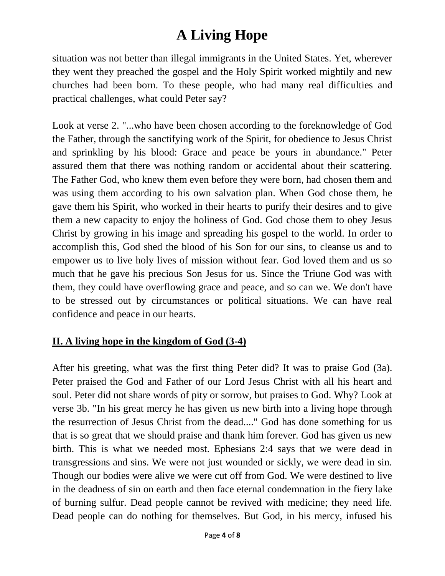situation was not better than illegal immigrants in the United States. Yet, wherever they went they preached the gospel and the Holy Spirit worked mightily and new churches had been born. To these people, who had many real difficulties and practical challenges, what could Peter say?

Look at verse 2. "...who have been chosen according to the foreknowledge of God the Father, through the sanctifying work of the Spirit, for obedience to Jesus Christ and sprinkling by his blood: Grace and peace be yours in abundance." Peter assured them that there was nothing random or accidental about their scattering. The Father God, who knew them even before they were born, had chosen them and was using them according to his own salvation plan. When God chose them, he gave them his Spirit, who worked in their hearts to purify their desires and to give them a new capacity to enjoy the holiness of God. God chose them to obey Jesus Christ by growing in his image and spreading his gospel to the world. In order to accomplish this, God shed the blood of his Son for our sins, to cleanse us and to empower us to live holy lives of mission without fear. God loved them and us so much that he gave his precious Son Jesus for us. Since the Triune God was with them, they could have overflowing grace and peace, and so can we. We don't have to be stressed out by circumstances or political situations. We can have real confidence and peace in our hearts.

#### **II. A living hope in the kingdom of God (3-4)**

After his greeting, what was the first thing Peter did? It was to praise God (3a). Peter praised the God and Father of our Lord Jesus Christ with all his heart and soul. Peter did not share words of pity or sorrow, but praises to God. Why? Look at verse 3b. "In his great mercy he has given us new birth into a living hope through the resurrection of Jesus Christ from the dead...." God has done something for us that is so great that we should praise and thank him forever. God has given us new birth. This is what we needed most. Ephesians 2:4 says that we were dead in transgressions and sins. We were not just wounded or sickly, we were dead in sin. Though our bodies were alive we were cut off from God. We were destined to live in the deadness of sin on earth and then face eternal condemnation in the fiery lake of burning sulfur. Dead people cannot be revived with medicine; they need life. Dead people can do nothing for themselves. But God, in his mercy, infused his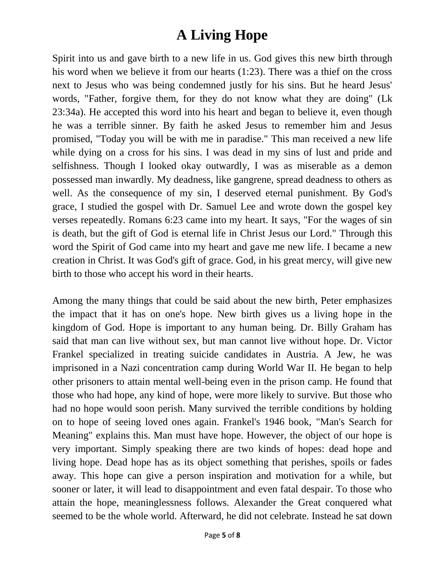Spirit into us and gave birth to a new life in us. God gives this new birth through his word when we believe it from our hearts (1:23). There was a thief on the cross next to Jesus who was being condemned justly for his sins. But he heard Jesus' words, "Father, forgive them, for they do not know what they are doing" (Lk 23:34a). He accepted this word into his heart and began to believe it, even though he was a terrible sinner. By faith he asked Jesus to remember him and Jesus promised, "Today you will be with me in paradise." This man received a new life while dying on a cross for his sins. I was dead in my sins of lust and pride and selfishness. Though I looked okay outwardly, I was as miserable as a demon possessed man inwardly. My deadness, like gangrene, spread deadness to others as well. As the consequence of my sin, I deserved eternal punishment. By God's grace, I studied the gospel with Dr. Samuel Lee and wrote down the gospel key verses repeatedly. Romans 6:23 came into my heart. It says, "For the wages of sin is death, but the gift of God is eternal life in Christ Jesus our Lord." Through this word the Spirit of God came into my heart and gave me new life. I became a new creation in Christ. It was God's gift of grace. God, in his great mercy, will give new birth to those who accept his word in their hearts.

Among the many things that could be said about the new birth, Peter emphasizes the impact that it has on one's hope. New birth gives us a living hope in the kingdom of God. Hope is important to any human being. Dr. Billy Graham has said that man can live without sex, but man cannot live without hope. Dr. Victor Frankel specialized in treating suicide candidates in Austria. A Jew, he was imprisoned in a Nazi concentration camp during World War II. He began to help other prisoners to attain mental well-being even in the prison camp. He found that those who had hope, any kind of hope, were more likely to survive. But those who had no hope would soon perish. Many survived the terrible conditions by holding on to hope of seeing loved ones again. Frankel's 1946 book, "Man's Search for Meaning" explains this. Man must have hope. However, the object of our hope is very important. Simply speaking there are two kinds of hopes: dead hope and living hope. Dead hope has as its object something that perishes, spoils or fades away. This hope can give a person inspiration and motivation for a while, but sooner or later, it will lead to disappointment and even fatal despair. To those who attain the hope, meaninglessness follows. Alexander the Great conquered what seemed to be the whole world. Afterward, he did not celebrate. Instead he sat down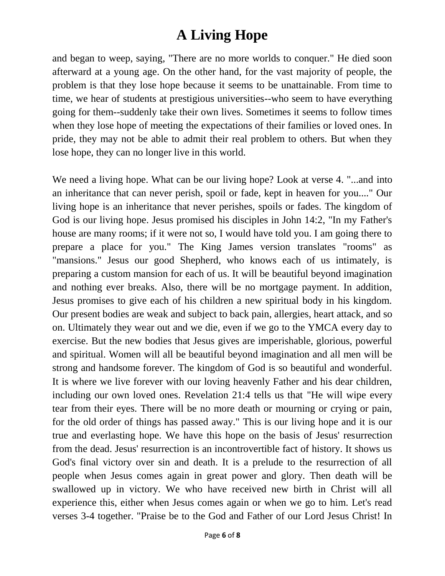and began to weep, saying, "There are no more worlds to conquer." He died soon afterward at a young age. On the other hand, for the vast majority of people, the problem is that they lose hope because it seems to be unattainable. From time to time, we hear of students at prestigious universities--who seem to have everything going for them--suddenly take their own lives. Sometimes it seems to follow times when they lose hope of meeting the expectations of their families or loved ones. In pride, they may not be able to admit their real problem to others. But when they lose hope, they can no longer live in this world.

We need a living hope. What can be our living hope? Look at verse 4. "...and into an inheritance that can never perish, spoil or fade, kept in heaven for you...." Our living hope is an inheritance that never perishes, spoils or fades. The kingdom of God is our living hope. Jesus promised his disciples in John 14:2, "In my Father's house are many rooms; if it were not so, I would have told you. I am going there to prepare a place for you." The King James version translates "rooms" as "mansions." Jesus our good Shepherd, who knows each of us intimately, is preparing a custom mansion for each of us. It will be beautiful beyond imagination and nothing ever breaks. Also, there will be no mortgage payment. In addition, Jesus promises to give each of his children a new spiritual body in his kingdom. Our present bodies are weak and subject to back pain, allergies, heart attack, and so on. Ultimately they wear out and we die, even if we go to the YMCA every day to exercise. But the new bodies that Jesus gives are imperishable, glorious, powerful and spiritual. Women will all be beautiful beyond imagination and all men will be strong and handsome forever. The kingdom of God is so beautiful and wonderful. It is where we live forever with our loving heavenly Father and his dear children, including our own loved ones. Revelation 21:4 tells us that "He will wipe every tear from their eyes. There will be no more death or mourning or crying or pain, for the old order of things has passed away." This is our living hope and it is our true and everlasting hope. We have this hope on the basis of Jesus' resurrection from the dead. Jesus' resurrection is an incontrovertible fact of history. It shows us God's final victory over sin and death. It is a prelude to the resurrection of all people when Jesus comes again in great power and glory. Then death will be swallowed up in victory. We who have received new birth in Christ will all experience this, either when Jesus comes again or when we go to him. Let's read verses 3-4 together. "Praise be to the God and Father of our Lord Jesus Christ! In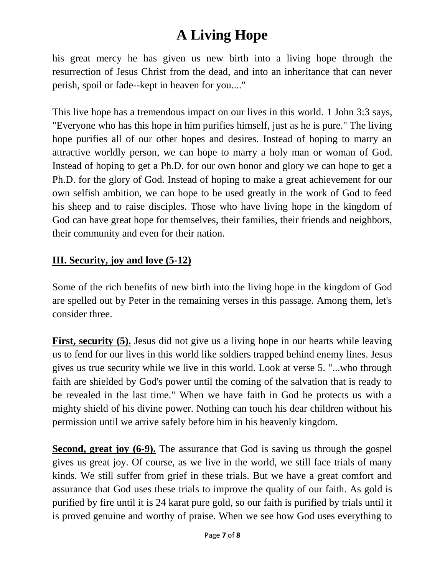his great mercy he has given us new birth into a living hope through the resurrection of Jesus Christ from the dead, and into an inheritance that can never perish, spoil or fade--kept in heaven for you...."

This live hope has a tremendous impact on our lives in this world. 1 John 3:3 says, "Everyone who has this hope in him purifies himself, just as he is pure." The living hope purifies all of our other hopes and desires. Instead of hoping to marry an attractive worldly person, we can hope to marry a holy man or woman of God. Instead of hoping to get a Ph.D. for our own honor and glory we can hope to get a Ph.D. for the glory of God. Instead of hoping to make a great achievement for our own selfish ambition, we can hope to be used greatly in the work of God to feed his sheep and to raise disciples. Those who have living hope in the kingdom of God can have great hope for themselves, their families, their friends and neighbors, their community and even for their nation.

#### **III. Security, joy and love (5-12)**

Some of the rich benefits of new birth into the living hope in the kingdom of God are spelled out by Peter in the remaining verses in this passage. Among them, let's consider three.

First, security (5). Jesus did not give us a living hope in our hearts while leaving us to fend for our lives in this world like soldiers trapped behind enemy lines. Jesus gives us true security while we live in this world. Look at verse 5. "...who through faith are shielded by God's power until the coming of the salvation that is ready to be revealed in the last time." When we have faith in God he protects us with a mighty shield of his divine power. Nothing can touch his dear children without his permission until we arrive safely before him in his heavenly kingdom.

**Second, great joy (6-9).** The assurance that God is saving us through the gospel gives us great joy. Of course, as we live in the world, we still face trials of many kinds. We still suffer from grief in these trials. But we have a great comfort and assurance that God uses these trials to improve the quality of our faith. As gold is purified by fire until it is 24 karat pure gold, so our faith is purified by trials until it is proved genuine and worthy of praise. When we see how God uses everything to